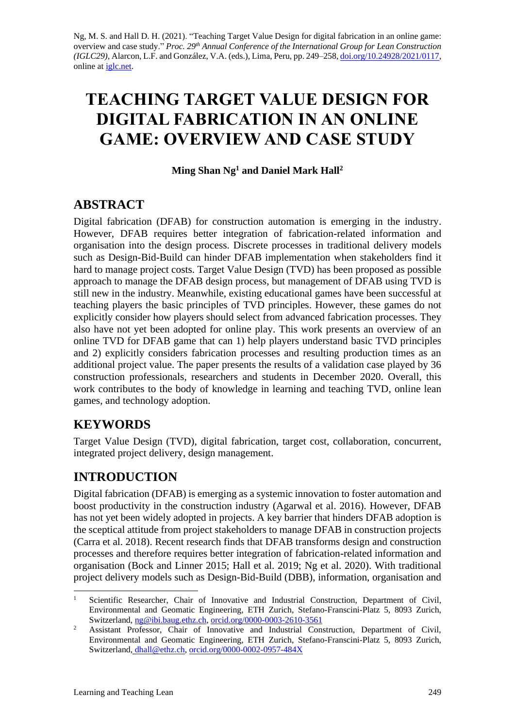Ng, M. S. and Hall D. H. (2021). "Teaching Target Value Design for digital fabrication in an online game: overview and case study." *Proc. 29 th Annual Conference of the International Group for Lean Construction (IGLC29),* Alarcon, L.F. and González, V.A. (eds.)*,* Lima, Peru, pp. 249–258, [doi.org/10.24928/2021/0117,](https://doi.org/10.24928/2021/0117) online at [iglc.net.](https://www.iglc.net/)

# **TEACHING TARGET VALUE DESIGN FOR DIGITAL FABRICATION IN AN ONLINE GAME: OVERVIEW AND CASE STUDY**

**Ming Shan Ng<sup>1</sup> and Daniel Mark Hall<sup>2</sup>**

# **ABSTRACT**

Digital fabrication (DFAB) for construction automation is emerging in the industry. However, DFAB requires better integration of fabrication-related information and organisation into the design process. Discrete processes in traditional delivery models such as Design-Bid-Build can hinder DFAB implementation when stakeholders find it hard to manage project costs. Target Value Design (TVD) has been proposed as possible approach to manage the DFAB design process, but management of DFAB using TVD is still new in the industry. Meanwhile, existing educational games have been successful at teaching players the basic principles of TVD principles. However, these games do not explicitly consider how players should select from advanced fabrication processes. They also have not yet been adopted for online play. This work presents an overview of an online TVD for DFAB game that can 1) help players understand basic TVD principles and 2) explicitly considers fabrication processes and resulting production times as an additional project value. The paper presents the results of a validation case played by 36 construction professionals, researchers and students in December 2020. Overall, this work contributes to the body of knowledge in learning and teaching TVD, online lean games, and technology adoption.

# **KEYWORDS**

Target Value Design (TVD), digital fabrication, target cost, collaboration, concurrent, integrated project delivery, design management.

# **INTRODUCTION**

Digital fabrication (DFAB) is emerging as a systemic innovation to foster automation and boost productivity in the construction industry (Agarwal et al. 2016). However, DFAB has not yet been widely adopted in projects. A key barrier that hinders DFAB adoption is the sceptical attitude from project stakeholders to manage DFAB in construction projects (Carra et al. 2018). Recent research finds that DFAB transforms design and construction processes and therefore requires better integration of fabrication-related information and organisation (Bock and Linner 2015; Hall et al. 2019; Ng et al. 2020). With traditional project delivery models such as Design-Bid-Build (DBB), information, organisation and

<sup>1</sup> Scientific Researcher, Chair of Innovative and Industrial Construction, Department of Civil, Environmental and Geomatic Engineering, ETH Zurich, Stefano-Franscini-Platz 5, 8093 Zurich, Switzerland, [ng@ibi.baug.ethz.ch,](mailto:ng@ibi.baug.ethz.ch) [orcid.org/0000-0003-2610-3561](https://orcid.org/0000-0003-2610-3561)

<sup>&</sup>lt;sup>2</sup> Assistant Professor, Chair of Innovative and Industrial Construction, Department of Civil, Environmental and Geomatic Engineering, ETH Zurich, Stefano-Franscini-Platz 5, 8093 Zurich, Switzerland, [dhall@ethz.ch,](mailto:dhall@ethz.ch) [orcid.org/0000-0002-0957-484X](https://orcid.org/0000-0002-0957-484X)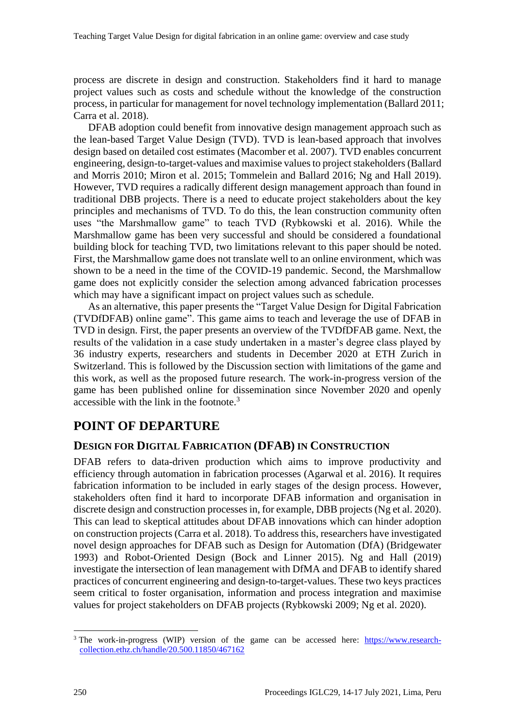process are discrete in design and construction. Stakeholders find it hard to manage project values such as costs and schedule without the knowledge of the construction process, in particular for management for novel technology implementation (Ballard 2011; Carra et al. 2018).

DFAB adoption could benefit from innovative design management approach such as the lean-based Target Value Design (TVD). TVD is lean-based approach that involves design based on detailed cost estimates (Macomber et al. 2007). TVD enables concurrent engineering, design-to-target-values and maximise values to project stakeholders (Ballard and Morris 2010; Miron et al. 2015; Tommelein and Ballard 2016; Ng and Hall 2019). However, TVD requires a radically different design management approach than found in traditional DBB projects. There is a need to educate project stakeholders about the key principles and mechanisms of TVD. To do this, the lean construction community often uses "the Marshmallow game" to teach TVD (Rybkowski et al. 2016). While the Marshmallow game has been very successful and should be considered a foundational building block for teaching TVD, two limitations relevant to this paper should be noted. First, the Marshmallow game does not translate well to an online environment, which was shown to be a need in the time of the COVID-19 pandemic. Second, the Marshmallow game does not explicitly consider the selection among advanced fabrication processes which may have a significant impact on project values such as schedule.

As an alternative, this paper presents the "Target Value Design for Digital Fabrication (TVDfDFAB) online game". This game aims to teach and leverage the use of DFAB in TVD in design. First, the paper presents an overview of the TVDfDFAB game. Next, the results of the validation in a case study undertaken in a master's degree class played by 36 industry experts, researchers and students in December 2020 at ETH Zurich in Switzerland. This is followed by the Discussion section with limitations of the game and this work, as well as the proposed future research. The work-in-progress version of the game has been published online for dissemination since November 2020 and openly accessible with the link in the footnote.<sup>3</sup>

### **POINT OF DEPARTURE**

#### **DESIGN FOR DIGITAL FABRICATION (DFAB) IN CONSTRUCTION**

DFAB refers to data-driven production which aims to improve productivity and efficiency through automation in fabrication processes (Agarwal et al. 2016). It requires fabrication information to be included in early stages of the design process. However, stakeholders often find it hard to incorporate DFAB information and organisation in discrete design and construction processes in, for example, DBB projects (Ng et al. 2020). This can lead to skeptical attitudes about DFAB innovations which can hinder adoption on construction projects (Carra et al. 2018). To address this, researchers have investigated novel design approaches for DFAB such as Design for Automation (DfA) (Bridgewater 1993) and Robot-Oriented Design (Bock and Linner 2015). Ng and Hall (2019) investigate the intersection of lean management with DfMA and DFAB to identify shared practices of concurrent engineering and design-to-target-values. These two keys practices seem critical to foster organisation, information and process integration and maximise values for project stakeholders on DFAB projects (Rybkowski 2009; Ng et al. 2020).

<sup>&</sup>lt;sup>3</sup> The work-in-progress (WIP) version of the game can be accessed here: [https://www.research](https://www.research-collection.ethz.ch/handle/20.500.11850/467162)[collection.ethz.ch/handle/20.500.11850/467162](https://www.research-collection.ethz.ch/handle/20.500.11850/467162)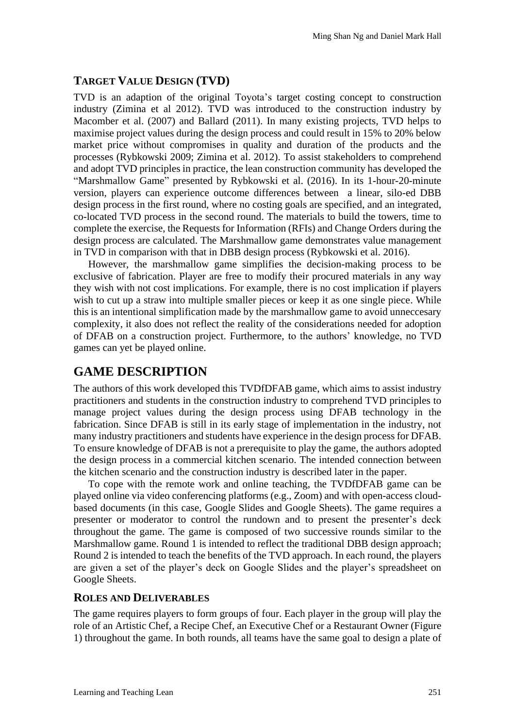### **TARGET VALUE DESIGN (TVD)**

TVD is an adaption of the original Toyota's target costing concept to construction industry (Zimina et al 2012). TVD was introduced to the construction industry by Macomber et al. (2007) and Ballard (2011). In many existing projects, TVD helps to maximise project values during the design process and could result in 15% to 20% below market price without compromises in quality and duration of the products and the processes (Rybkowski 2009; Zimina et al. 2012). To assist stakeholders to comprehend and adopt TVD principles in practice, the lean construction community has developed the "Marshmallow Game" presented by Rybkowski et al. (2016). In its 1-hour-20-minute version, players can experience outcome differences between a linear, silo-ed DBB design process in the first round, where no costing goals are specified, and an integrated, co-located TVD process in the second round. The materials to build the towers, time to complete the exercise, the Requests for Information (RFIs) and Change Orders during the design process are calculated. The Marshmallow game demonstrates value management in TVD in comparison with that in DBB design process (Rybkowski et al. 2016).

However, the marshmallow game simplifies the decision-making process to be exclusive of fabrication. Player are free to modify their procured materials in any way they wish with not cost implications. For example, there is no cost implication if players wish to cut up a straw into multiple smaller pieces or keep it as one single piece. While this is an intentional simplification made by the marshmallow game to avoid unneccesary complexity, it also does not reflect the reality of the considerations needed for adoption of DFAB on a construction project. Furthermore, to the authors' knowledge, no TVD games can yet be played online.

# **GAME DESCRIPTION**

The authors of this work developed this TVDfDFAB game, which aims to assist industry practitioners and students in the construction industry to comprehend TVD principles to manage project values during the design process using DFAB technology in the fabrication. Since DFAB is still in its early stage of implementation in the industry, not many industry practitioners and students have experience in the design process for DFAB. To ensure knowledge of DFAB is not a prerequisite to play the game, the authors adopted the design process in a commercial kitchen scenario. The intended connection between the kitchen scenario and the construction industry is described later in the paper.

To cope with the remote work and online teaching, the TVDfDFAB game can be played online via video conferencing platforms (e.g., Zoom) and with open-access cloudbased documents (in this case, Google Slides and Google Sheets). The game requires a presenter or moderator to control the rundown and to present the presenter's deck throughout the game. The game is composed of two successive rounds similar to the Marshmallow game. Round 1 is intended to reflect the traditional DBB design approach; Round 2 is intended to teach the benefits of the TVD approach. In each round, the players are given a set of the player's deck on Google Slides and the player's spreadsheet on Google Sheets.

#### **ROLES AND DELIVERABLES**

The game requires players to form groups of four. Each player in the group will play the role of an Artistic Chef, a Recipe Chef, an Executive Chef or a Restaurant Owner (Figure 1) throughout the game. In both rounds, all teams have the same goal to design a plate of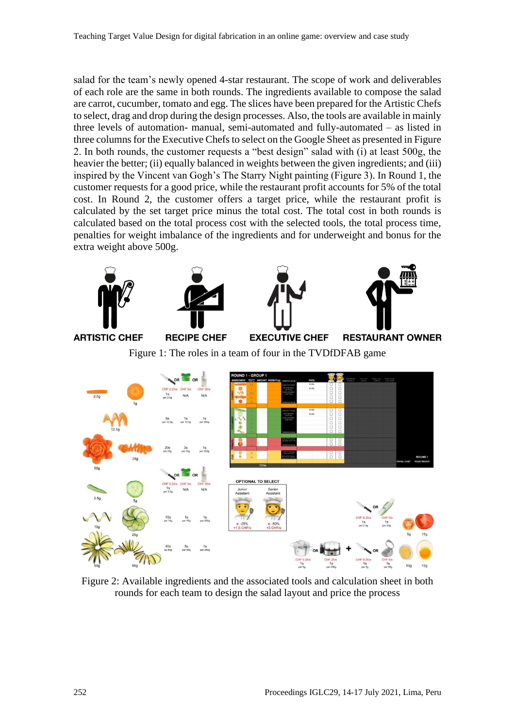salad for the team's newly opened 4-star restaurant. The scope of work and deliverables of each role are the same in both rounds. The ingredients available to compose the salad are carrot, cucumber, tomato and egg. The slices have been prepared for the Artistic Chefs to select, drag and drop during the design processes. Also, the tools are available in mainly three levels of automation- manual, semi-automated and fully-automated – as listed in three columns for the Executive Chefs to select on the Google Sheet as presented in Figure 2. In both rounds, the customer requests a "best design" salad with (i) at least 500g, the heavier the better; (ii) equally balanced in weights between the given ingredients; and (iii) inspired by the Vincent van Gogh's The Starry Night painting (Figure 3). In Round 1, the customer requests for a good price, while the restaurant profit accounts for 5% of the total cost. In Round 2, the customer offers a target price, while the restaurant profit is calculated by the set target price minus the total cost. The total cost in both rounds is calculated based on the total process cost with the selected tools, the total process time, penalties for weight imbalance of the ingredients and for underweight and bonus for the extra weight above 500g.



Figure 2: Available ingredients and the associated tools and calculation sheet in both rounds for each team to design the salad layout and price the process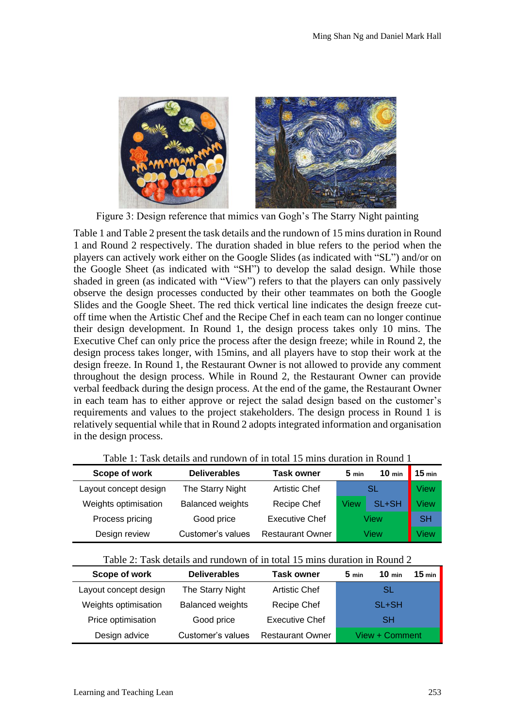

Figure 3: Design reference that mimics van Gogh's The Starry Night painting

Table 1 and Table 2 present the task details and the rundown of 15 mins duration in Round 1 and Round 2 respectively. The duration shaded in blue refers to the period when the players can actively work either on the Google Slides (as indicated with "SL") and/or on the Google Sheet (as indicated with "SH") to develop the salad design. While those shaded in green (as indicated with "View") refers to that the players can only passively observe the design processes conducted by their other teammates on both the Google Slides and the Google Sheet. The red thick vertical line indicates the design freeze cutoff time when the Artistic Chef and the Recipe Chef in each team can no longer continue their design development. In Round 1, the design process takes only 10 mins. The Executive Chef can only price the process after the design freeze; while in Round 2, the design process takes longer, with 15mins, and all players have to stop their work at the design freeze. In Round 1, the Restaurant Owner is not allowed to provide any comment throughout the design process. While in Round 2, the Restaurant Owner can provide verbal feedback during the design process. At the end of the game, the Restaurant Owner in each team has to either approve or reject the salad design based on the customer's requirements and values to the project stakeholders. The design process in Round 1 is relatively sequential while that in Round 2 adopts integrated information and organisation in the design process.

| Scope of work         | <b>Deliverables</b>     | <b>Task owner</b>       | 5 <sub>min</sub> | $10 \text{ min}$ | $15 \text{ min}$ |
|-----------------------|-------------------------|-------------------------|------------------|------------------|------------------|
| Layout concept design | The Starry Night        | <b>Artistic Chef</b>    | SL               |                  | View             |
| Weights optimisation  | <b>Balanced weights</b> | Recipe Chef             | View             | SL+SH            | View             |
| Process pricing       | Good price              | <b>Executive Chef</b>   | View             |                  | <b>SH</b>        |
| Design review         | Customer's values       | <b>Restaurant Owner</b> | View             |                  | View             |

Table 1: Task details and rundown of in total 15 mins duration in Round 1

| Scope of work         | <b>Deliverables</b>     | <b>Task owner</b>       | $5 \text{ min}$ | $10 \text{ min}$ | $15$ min |
|-----------------------|-------------------------|-------------------------|-----------------|------------------|----------|
| Layout concept design | The Starry Night        | <b>Artistic Chef</b>    |                 | SL               |          |
| Weights optimisation  | <b>Balanced weights</b> | <b>Recipe Chef</b>      |                 | SL+SH            |          |
| Price optimisation    | Good price              | <b>Executive Chef</b>   |                 | <b>SH</b>        |          |
| Design advice         | Customer's values       | <b>Restaurant Owner</b> |                 | View + Comment   |          |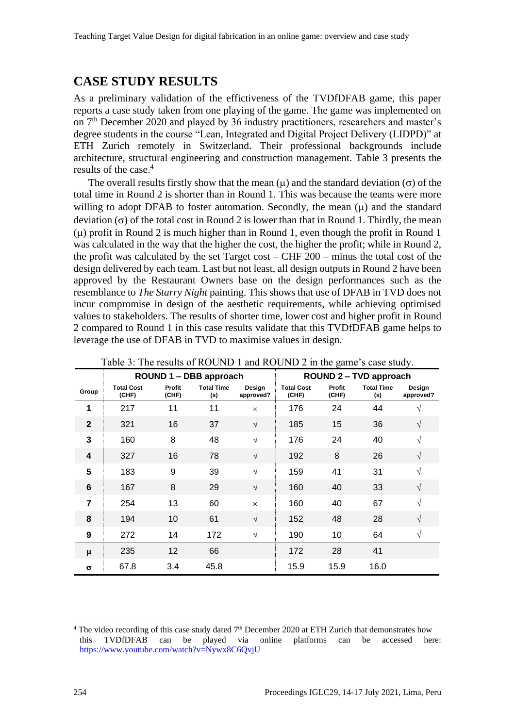### **CASE STUDY RESULTS**

As a preliminary validation of the effictiveness of the TVDfDFAB game, this paper reports a case study taken from one playing of the game. The game was implemented on on 7<sup>th</sup> December 2020 and played by 36 industry practitioners, researchers and master's degree students in the course "Lean, Integrated and Digital Project Delivery (LIDPD)" at ETH Zurich remotely in Switzerland. Their professional backgrounds include architecture, structural engineering and construction management. Table 3 presents the results of the case.<sup>4</sup>

The overall results firstly show that the mean  $(\mu)$  and the standard deviation  $(\sigma)$  of the total time in Round 2 is shorter than in Round 1. This was because the teams were more willing to adopt DFAB to foster automation. Secondly, the mean  $(\mu)$  and the standard deviation  $(\sigma)$  of the total cost in Round 2 is lower than that in Round 1. Thirdly, the mean ( $\mu$ ) profit in Round 2 is much higher than in Round 1, even though the profit in Round 1 was calculated in the way that the higher the cost, the higher the profit; while in Round 2, the profit was calculated by the set Target cost – CHF 200 – minus the total cost of the design delivered by each team. Last but not least, all design outputs in Round 2 have been approved by the Restaurant Owners base on the design performances such as the resemblance to *The Starry Night* painting. This shows that use of DFAB in TVD does not incur compromise in design of the aesthetic requirements, while achieving optimised values to stakeholders. The results of shorter time, lower cost and higher profit in Round 2 compared to Round 1 in this case results validate that this TVDfDFAB game helps to leverage the use of DFAB in TVD to maximise values in design.

|                | ROUND 1 - DBB approach     |                 |                          |                     | <b>ROUND 2-TVD approach</b> |                 |                          |                     |
|----------------|----------------------------|-----------------|--------------------------|---------------------|-----------------------------|-----------------|--------------------------|---------------------|
| Group          | <b>Total Cost</b><br>(CHF) | Profit<br>(CHF) | <b>Total Time</b><br>(s) | Design<br>approved? | <b>Total Cost</b><br>(CHF)  | Profit<br>(CHF) | <b>Total Time</b><br>(s) | Design<br>approved? |
| 1              | 217                        | 11              | 11                       | $\times$            | 176                         | 24              | 44                       | N                   |
| $\overline{2}$ | 321                        | 16              | 37                       | $\sqrt{}$           | 185                         | 15              | 36                       | V                   |
| 3              | 160                        | 8               | 48                       | $\sqrt{ }$          | 176                         | 24              | 40                       | V                   |
| 4              | 327                        | 16              | 78                       | $\sqrt{ }$          | 192                         | 8               | 26                       | V                   |
| 5              | 183                        | 9               | 39                       | $\sqrt{ }$          | 159                         | 41              | 31                       | $\sqrt{ }$          |
| 6              | 167                        | 8               | 29                       | $\sqrt{}$           | 160                         | 40              | 33                       | $\sqrt{ }$          |
| $\overline{7}$ | 254                        | 13              | 60                       | $\times$            | 160                         | 40              | 67                       | $\sqrt{ }$          |
| 8              | 194                        | 10              | 61                       | $\sqrt{}$           | 152                         | 48              | 28                       | $\sqrt{ }$          |
| 9              | 272                        | 14              | 172                      | $\sqrt{ }$          | 190                         | 10              | 64                       | $\sqrt{ }$          |
| μ              | 235                        | 12              | 66                       |                     | 172                         | 28              | 41                       |                     |
| $\sigma$       | 67.8                       | 3.4             | 45.8                     |                     | 15.9                        | 15.9            | 16.0                     |                     |

Table 3: The results of ROUND 1 and ROUND 2 in the game's case study.

<sup>&</sup>lt;sup>4</sup> The video recording of this case study dated  $7<sup>th</sup>$  December 2020 at ETH Zurich that demonstrates how this TVDfDFAB can be played via online platforms can be accessed here: <https://www.youtube.com/watch?v=Nywx8C6QvjU>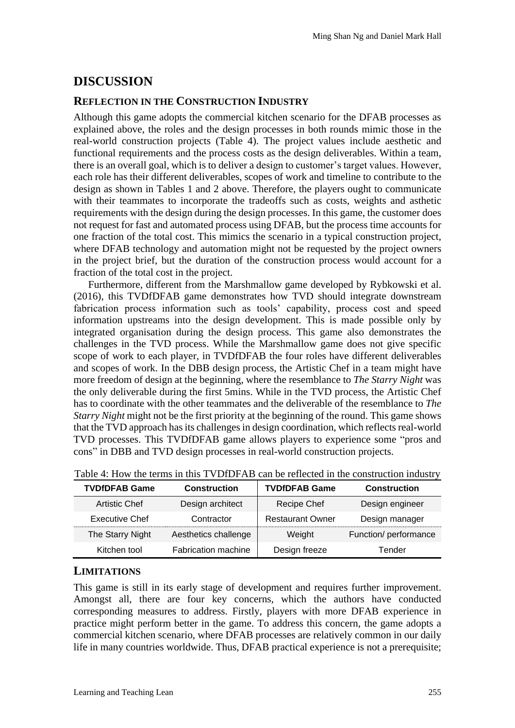### **DISCUSSION**

#### **REFLECTION IN THE CONSTRUCTION INDUSTRY**

Although this game adopts the commercial kitchen scenario for the DFAB processes as explained above, the roles and the design processes in both rounds mimic those in the real-world construction projects (Table 4). The project values include aesthetic and functional requirements and the process costs as the design deliverables. Within a team, there is an overall goal, which is to deliver a design to customer's target values. However, each role has their different deliverables, scopes of work and timeline to contribute to the design as shown in Tables 1 and 2 above. Therefore, the players ought to communicate with their teammates to incorporate the tradeoffs such as costs, weights and asthetic requirements with the design during the design processes. In this game, the customer does not request for fast and automated process using DFAB, but the process time accounts for one fraction of the total cost. This mimics the scenario in a typical construction project, where DFAB technology and automation might not be requested by the project owners in the project brief, but the duration of the construction process would account for a fraction of the total cost in the project.

Furthermore, different from the Marshmallow game developed by Rybkowski et al. (2016), this TVDfDFAB game demonstrates how TVD should integrate downstream fabrication process information such as tools' capability, process cost and speed information upstreams into the design development. This is made possible only by integrated organisation during the design process. This game also demonstrates the challenges in the TVD process. While the Marshmallow game does not give specific scope of work to each player, in TVDfDFAB the four roles have different deliverables and scopes of work. In the DBB design process, the Artistic Chef in a team might have more freedom of design at the beginning, where the resemblance to *The Starry Night* was the only deliverable during the first 5mins. While in the TVD process, the Artistic Chef has to coordinate with the other teammates and the deliverable of the resemblance to *The Starry Night* might not be the first priority at the beginning of the round. This game shows that the TVD approach has its challenges in design coordination, which reflects real-world TVD processes. This TVDfDFAB game allows players to experience some "pros and cons" in DBB and TVD design processes in real-world construction projects.

| <b>TVDfDFAB Game</b>  | <b>Construction</b>        | <b>TVDfDFAB Game</b>    | <b>Construction</b>   |
|-----------------------|----------------------------|-------------------------|-----------------------|
| <b>Artistic Chef</b>  | Design architect           | Recipe Chef             | Design engineer       |
| <b>Executive Chef</b> | Contractor                 | <b>Restaurant Owner</b> | Design manager        |
| The Starry Night      | Aesthetics challenge       | Weight                  | Function/ performance |
| Kitchen tool          | <b>Fabrication machine</b> | Design freeze           | Tender                |

Table 4: How the terms in this TVDfDFAB can be reflected in the construction industry

### **LIMITATIONS**

This game is still in its early stage of development and requires further improvement. Amongst all, there are four key concerns, which the authors have conducted corresponding measures to address. Firstly, players with more DFAB experience in practice might perform better in the game. To address this concern, the game adopts a commercial kitchen scenario, where DFAB processes are relatively common in our daily life in many countries worldwide. Thus, DFAB practical experience is not a prerequisite;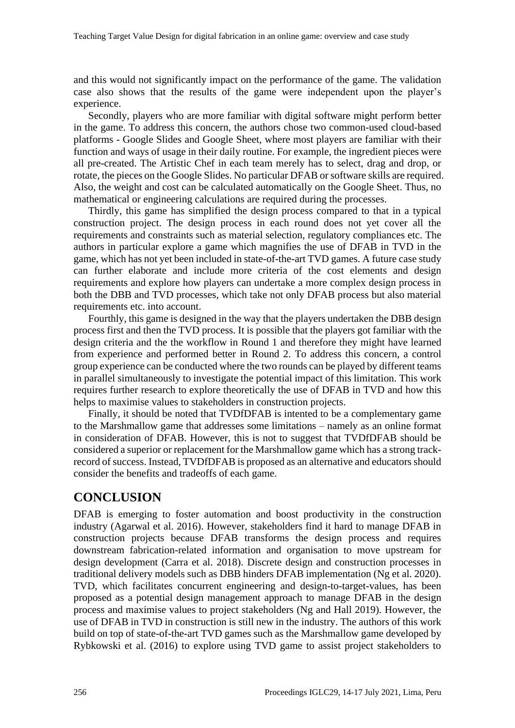and this would not significantly impact on the performance of the game. The validation case also shows that the results of the game were independent upon the player's experience.

Secondly, players who are more familiar with digital software might perform better in the game. To address this concern, the authors chose two common-used cloud-based platforms - Google Slides and Google Sheet, where most players are familiar with their function and ways of usage in their daily routine. For example, the ingredient pieces were all pre-created. The Artistic Chef in each team merely has to select, drag and drop, or rotate, the pieces on the Google Slides. No particular DFAB or software skills are required. Also, the weight and cost can be calculated automatically on the Google Sheet. Thus, no mathematical or engineering calculations are required during the processes.

Thirdly, this game has simplified the design process compared to that in a typical construction project. The design process in each round does not yet cover all the requirements and constraints such as material selection, regulatory compliances etc. The authors in particular explore a game which magnifies the use of DFAB in TVD in the game, which has not yet been included in state-of-the-art TVD games. A future case study can further elaborate and include more criteria of the cost elements and design requirements and explore how players can undertake a more complex design process in both the DBB and TVD processes, which take not only DFAB process but also material requirements etc. into account.

Fourthly, this game is designed in the way that the players undertaken the DBB design process first and then the TVD process. It is possible that the players got familiar with the design criteria and the the workflow in Round 1 and therefore they might have learned from experience and performed better in Round 2. To address this concern, a control group experience can be conducted where the two rounds can be played by different teams in parallel simultaneously to investigate the potential impact of this limitation. This work requires further research to explore theoretically the use of DFAB in TVD and how this helps to maximise values to stakeholders in construction projects.

Finally, it should be noted that TVDfDFAB is intented to be a complementary game to the Marshmallow game that addresses some limitations – namely as an online format in consideration of DFAB. However, this is not to suggest that TVDfDFAB should be considered a superior or replacement for the Marshmallow game which has a strong trackrecord of success. Instead, TVDfDFAB is proposed as an alternative and educators should consider the benefits and tradeoffs of each game.

### **CONCLUSION**

DFAB is emerging to foster automation and boost productivity in the construction industry (Agarwal et al. 2016). However, stakeholders find it hard to manage DFAB in construction projects because DFAB transforms the design process and requires downstream fabrication-related information and organisation to move upstream for design development (Carra et al. 2018). Discrete design and construction processes in traditional delivery models such as DBB hinders DFAB implementation (Ng et al. 2020). TVD, which facilitates concurrent engineering and design-to-target-values, has been proposed as a potential design management approach to manage DFAB in the design process and maximise values to project stakeholders (Ng and Hall 2019). However, the use of DFAB in TVD in construction is still new in the industry. The authors of this work build on top of state-of-the-art TVD games such as the Marshmallow game developed by Rybkowski et al. (2016) to explore using TVD game to assist project stakeholders to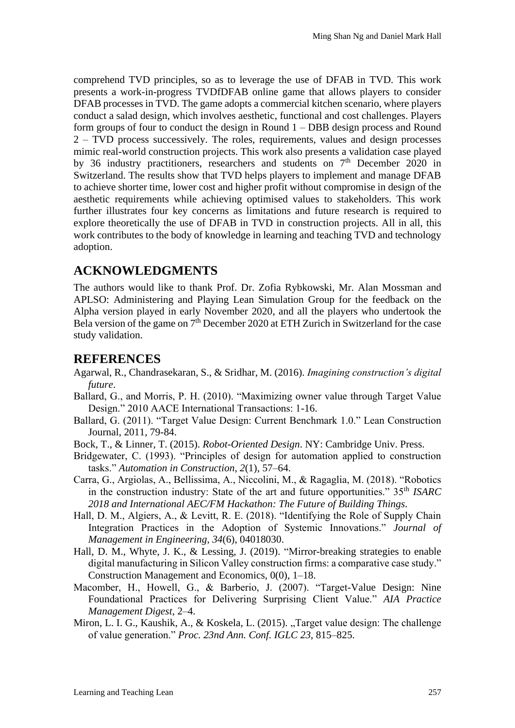comprehend TVD principles, so as to leverage the use of DFAB in TVD. This work presents a work-in-progress TVDfDFAB online game that allows players to consider DFAB processes in TVD. The game adopts a commercial kitchen scenario, where players conduct a salad design, which involves aesthetic, functional and cost challenges. Players form groups of four to conduct the design in Round 1 – DBB design process and Round 2 – TVD process successively. The roles, requirements, values and design processes mimic real-world construction projects. This work also presents a validation case played by 36 industry practitioners, researchers and students on 7<sup>th</sup> December 2020 in Switzerland. The results show that TVD helps players to implement and manage DFAB to achieve shorter time, lower cost and higher profit without compromise in design of the aesthetic requirements while achieving optimised values to stakeholders. This work further illustrates four key concerns as limitations and future research is required to explore theoretically the use of DFAB in TVD in construction projects. All in all, this work contributes to the body of knowledge in learning and teaching TVD and technology adoption.

# **ACKNOWLEDGMENTS**

The authors would like to thank Prof. Dr. Zofia Rybkowski, Mr. Alan Mossman and APLSO: Administering and Playing Lean Simulation Group for the feedback on the Alpha version played in early November 2020, and all the players who undertook the Bela version of the game on 7<sup>th</sup> December 2020 at ETH Zurich in Switzerland for the case study validation.

### **REFERENCES**

- Agarwal, R., Chandrasekaran, S., & Sridhar, M. (2016). *Imagining construction's digital future*.
- Ballard, G., and Morris, P. H. (2010). "Maximizing owner value through Target Value Design." 2010 AACE International Transactions: 1-16.
- Ballard, G. (2011). "Target Value Design: Current Benchmark 1.0." Lean Construction Journal, 2011, 79-84.
- Bock, T., & Linner, T. (2015). *Robot-Oriented Design*. NY: Cambridge Univ. Press.
- Bridgewater, C. (1993). "Principles of design for automation applied to construction tasks." *Automation in Construction*, *2*(1), 57–64.
- Carra, G., Argiolas, A., Bellissima, A., Niccolini, M., & Ragaglia, M. (2018). "Robotics in the construction industry: State of the art and future opportunities." 35th *ISARC 2018 and International AEC/FM Hackathon: The Future of Building Things*.
- Hall, D. M., Algiers, A., & Levitt, R. E. (2018). "Identifying the Role of Supply Chain Integration Practices in the Adoption of Systemic Innovations." *Journal of Management in Engineering*, *34*(6), 04018030.
- Hall, D. M., Whyte, J. K., & Lessing, J. (2019). "Mirror-breaking strategies to enable digital manufacturing in Silicon Valley construction firms: a comparative case study." Construction Management and Economics, 0(0), 1–18.
- Macomber, H., Howell, G., & Barberio, J. (2007). "Target-Value Design: Nine Foundational Practices for Delivering Surprising Client Value." *AIA Practice Management Digest*, 2–4.
- Miron, L. I. G., Kaushik, A., & Koskela, L. (2015). "Target value design: The challenge of value generation." *Proc. 23nd Ann. Conf. IGLC 23*, 815–825.